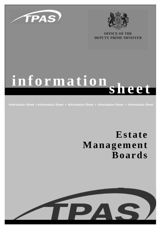



**OFFICE OF THE DEPUTY PRIME MINISTER** 

# **information sheet**

**Information Sheet** ! **Information Sheet** ! **Information Sheet** ! **Information Sheet** ! **Information Sheet**

## **Estate Management Boards**

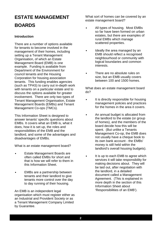### **ESTATE MANAGEMENT BOARDS**

#### **Introduction**

There are a number of options available for tenants to become involved in the management of their homes, including setting up a Tenant Management Organisation, of which an Estate Management Board (EMB) is one example. Funding is available from Department of the Environment for council tenants and the Housing Corporation for housing association tenants. This funding enables agencies (such as TPAS) to carry out in-depth work with tenants on a particular estate and to discuss the options available for greater involvement. There are only two types of Tenant Management Organisation, Estate Management Boards (EMBs) and Tenant Management Co-ops (TMCs).

This Information Sheet is designed to answer tenants' specific questions about EMBs. It covers what an EMB is, what it does, how it is set up, the roles and responsibilities of the EMB and the landlord, and some of the advantages and disadvantages of EMBs.

What is an estate management board?

- Estate Management Boards are often called EMBs for short and that is how we will refer to them in this Information Sheet.
- EMBs are a partnership between tenants and their landlord to give tenants more control over the day to day running of their housing.

An EMB is an independent legal organisation which must register either as an Industrial and Provident Society or as a Tenant Management Company Limited by Guarantee.

What sort of homes can be covered by an estate management board?

- All types of housing. Most EMBs so far have been formed on urban estates, but there are examples of rural EMBs which manage scattered properties.
- Ideally the area managed by an EMB should reflect a recognised neighbourhood or community with logical boundaries and common interests.
- There are no absolute rules on size, but an EMB usually covers between 100 and 1500 homes.

What does an estate management board do?

- It is directly responsible for housing management policies and practices for the homes in the area it covers.
- An annual budget is allocated from the landlord to the estate (or group of homes), and the members of the board decide how this will be spent. (But unlike a Tenants Management Co-op, the EMB does not usually have a cheque book to its own bank account - the EMBs' money is still held within the landlord's overall housing budgets).
- It is up to each EMB to agree which services it will take responsibility for making decisions about. They will be laid out, after negotiation with the landlord, in a detailed document called a Management Agreement. (This is explained in more depth in the section of this Information Sheet about 'Responsibilities of an EMB').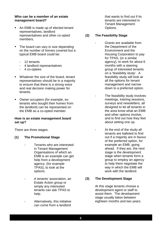#### **Who can be a member of an estate management board?**

- " An EMB is made up of elected tenant representatives, landlord representatives and other co-opted members.
- The board can vary in size depending on the number of homes covered but a typical EMB board could be:
	- 12 tenants
	- 4 landlord representatives
	- 4 co-optees
- Whatever the size of the board, tenant representatives should be in a majority to ensure that there is a strong voice and real decision making power for tenants.
- Owner occupiers (for example, extenants who bought their homes from the landlord) can be represented on the EMB as a co-opted member.

#### **How is an estate management board set up?**

There are three stages:

- **(1) The Promotional Stage**
	- Tenants who are interested in Tenant Management Organisations of which an EMB is an example can get help from a development agency, (for example TPAS), to look at the options.
	- A tenants' association, an Estate Action group or simply any interested tenants can ask TPAS to help.
	- Alternatively, this initiative can come from a landlord

that wants to find out if its tenants are interested in Tenant Management Options.

#### **(2) The Feasibility Stage**

- Grants are available from the Department of the Environment and the Housing Corporation to pay for TPAS, (or a similar agency), to work for about 6 months with a steering group of interested tenants on a 'feasibility study'. A feasibility study will look at all the options for tenant management and narrow down to a preferred option.
- The feasibility study involves meetings, training sessions, surveys and newsletters, all designed to let all tenants in the area know what an EMB and other options involve, and to find out how they feel about setting one up.
- At the end of the study all tenants are balloted to find out if a majority are in favour of the preferred option, for example an EMB, going ahead. If they are, the next stage is the development stage when tenants form a group to employ an agency to help them negotiate the way in which the EMB will work with the landlord.

#### **(3) The Development Stage**

At this stage tenants choose a development agent or staff to assist them. The development stage usually takes between eighteen months and two years.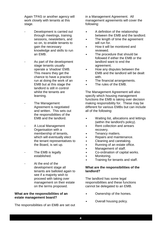Again TPAS or another agency will work closely with tenants at this stage.

- Development is carried out through meetings, training sessions, newsletters, and so on, to enable tenants to gain the necessary knowledge and skills to run an EMB.
	- As part of the development stage tenants usually operate a 'shadow' EMB. This means they get the chance to have a practice run at doing the work of an EMB but at this stage the landlord is still in control whilst the tenants are learning.
	- The Management Agreement is negotiated and written. This sets out the responsibilities of the EMB and the landlord.
- A Local Management Organisation with a membership of tenants, which will eventually elect the tenant representatives to the Board, is set up.
- The EMB is legally established.
- At the end of the development stage all tenants are balloted again to see if a majority wish to proceed with taking over management on their estate on the terms proposed.

#### **What are the responsibilities of an estate management board?**

The responsibilities of an EMB are set out

in a Management Agreement. All management agreements will cover the following:

- A definition of the relationship between the EMB and the landlord.
- The length of time the agreement will run for.
- How it will be monitored and reviewed.
- The procedure that should be followed if either the EMB or the landlord want to end the agreement.
- How any disputes between the EMB and the landlord will be dealt with.
- The financial arrangements.
- The rules of the EMB.

The Management Agreement will also specify which housing management functions the EMB is taking over decision making responsibility for. These may be different for various EMBs but can include all of the following:

- Waiting list, allocations and lettings (within the landlord's policy).
- Rent collection and arrears recovery.
- Tenancy matters.
- Repairs and maintenance.
- Cleaning and caretaking.
- Running of an estate office.
- Management of staff.
- Co-ordination of capital works.
- Monitoring.
- Training for tenants and staff.

#### **What are the responsibilities of the landlord?**

The landlord has some legal responsibilities and these functions cannot be delegated to an EMB.

- Ownership of the homes.
- Overall housing policy.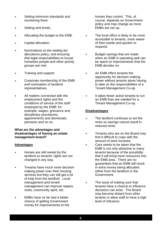- Setting minimum standards and monitoring them.
- Setting rent levels.
- Allocating the budget to the EMB.
- Capital allocation.
- Nominations to the waiting list, allocations policy, and ensuring that legal responsibilities to house homeless people and other priority groups are met.
- Training and support.
- Corporate membership of the EMB and nomination of landlord representatives.
- All matters connected with the employment rights and the conditions of service of the staff employed by the EMB: for example, wages, grievance and disciplinary procedures, appointments and dismissals, pensions and so on.

#### **What are the advantages and disadvantages of having an estate management board?**

#### **Advantages**

- Homes are still owned by the landlord so tenants' rights are not changed in any way.
- Tenants have much more decision making power over their housing services but they can still get a lot of help from the landlord. Local management and tenant management can improve repairs, voids, community spirit, etc.
- EMBs have so far had a better chance of getting Government money for improvements to the

homes they control. This, of course, depends on Government policy and may change as more EMBs are set up.

- The local office is likely to be more accessible to tenants, more aware of their needs and quicker to respond.
- Budget savings that are made when an EMB is operating well can be spent on improvements that the EMB decides on.
- An EMB offers tenants the opportunity for decision making power without tenants alone having to take on the responsibilities of a Tenant Management Co-op.
- It takes fewer active tenants to run an EMB than are needed for a Tenant Management Co-op.

#### **Disadvantages**

- The landlord continues to set the rents so savings cannot result in reduced rents.
- Tenants who are on the Board may find it difficult to cope with the amount of work involved.
- Care needs to be taken that the EMB is not only attractive to many tenants because of the possibility that it will bring more resources into the EMB area. There are no guarantees that an EMB will result in extra money being allocated either from the landlord or the Government.
- The issue of making sure that tenants have a chance to influence decisions can arise. The Board may become distant from other tenants or allow staff to have a high level of influence.